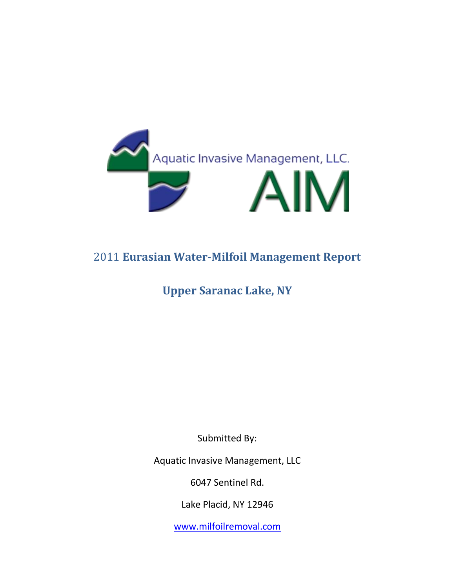

# 2011 **Eurasian Water-Milfoil Management Report**

# **Upper Saranac Lake, NY**

Submitted By:

Aquatic Invasive Management, LLC

6047 Sentinel Rd.

Lake Placid, NY 12946

[www.milfoilremoval.com](http://www.milfoilremoval.com/)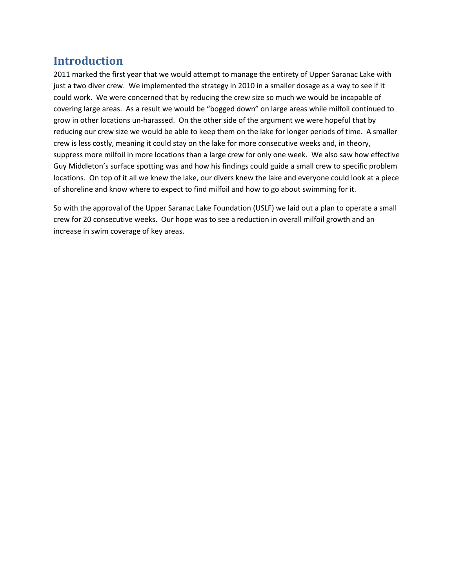### **Introduction**

2011 marked the first year that we would attempt to manage the entirety of Upper Saranac Lake with just a two diver crew. We implemented the strategy in 2010 in a smaller dosage as a way to see if it could work. We were concerned that by reducing the crew size so much we would be incapable of covering large areas. As a result we would be "bogged down" on large areas while milfoil continued to grow in other locations un-harassed. On the other side of the argument we were hopeful that by reducing our crew size we would be able to keep them on the lake for longer periods of time. A smaller crew is less costly, meaning it could stay on the lake for more consecutive weeks and, in theory, suppress more milfoil in more locations than a large crew for only one week. We also saw how effective Guy Middleton's surface spotting was and how his findings could guide a small crew to specific problem locations. On top of it all we knew the lake, our divers knew the lake and everyone could look at a piece of shoreline and know where to expect to find milfoil and how to go about swimming for it.

So with the approval of the Upper Saranac Lake Foundation (USLF) we laid out a plan to operate a small crew for 20 consecutive weeks. Our hope was to see a reduction in overall milfoil growth and an increase in swim coverage of key areas.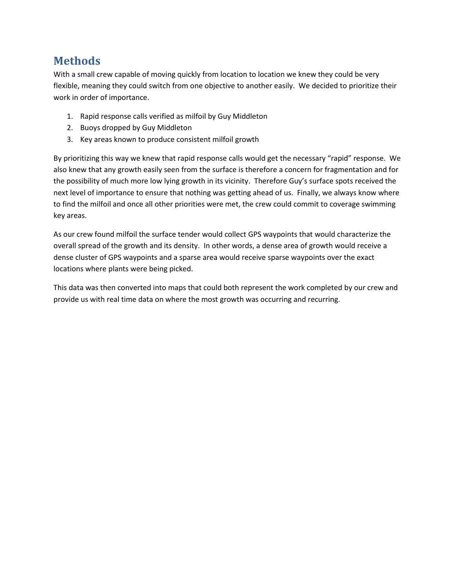### **Methods**

With a small crew capable of moving quickly from location to location we knew they could be very flexible, meaning they could switch from one objective to another easily. We decided to prioritize their work in order of importance.

- 1. Rapid response calls verified as milfoil by Guy Middleton
- 2. Buoys dropped by Guy Middleton
- 3. Key areas known to produce consistent milfoil growth

By prioritizing this way we knew that rapid response calls would get the necessary "rapid" response. We also knew that any growth easily seen from the surface is therefore a concern for fragmentation and for the possibility of much more low lying growth in its vicinity. Therefore Guy's surface spots received the next level of importance to ensure that nothing was getting ahead of us. Finally, we always know where to find the milfoil and once all other priorities were met, the crew could commit to coverage swimming key areas.

As our crew found milfoil the surface tender would collect GPS waypoints that would characterize the overall spread of the growth and its density. In other words, a dense area of growth would receive a dense cluster of GPS waypoints and a sparse area would receive sparse waypoints over the exact locations where plants were being picked.

This data was then converted into maps that could both represent the work completed by our crew and provide us with real time data on where the most growth was occurring and recurring.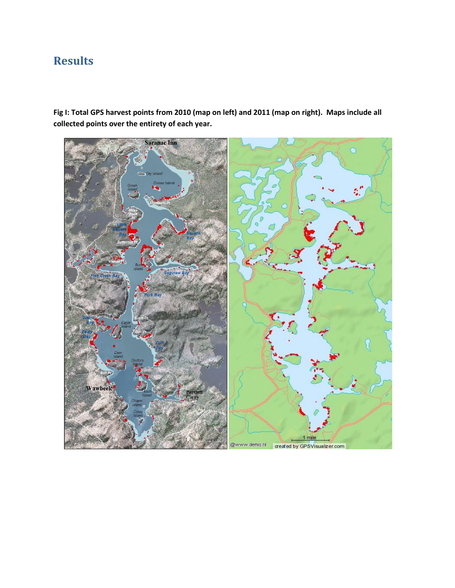# **Results**

**Fig I: Total GPS harvest points from 2010 (map on left) and 2011 (map on right). Maps include all collected points over the entirety of each year.**

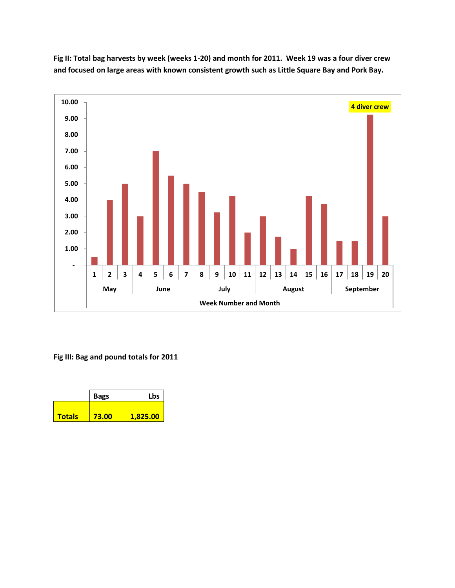

**Fig II: Total bag harvests by week (weeks 1-20) and month for 2011. Week 19 was a four diver crew and focused on large areas with known consistent growth such as Little Square Bay and Pork Bay.**

**Fig III: Bag and pound totals for 2011**

|               | <b>Bags</b> | Lbs      |
|---------------|-------------|----------|
|               |             |          |
| <b>Totals</b> | 73.00       | 1,825.00 |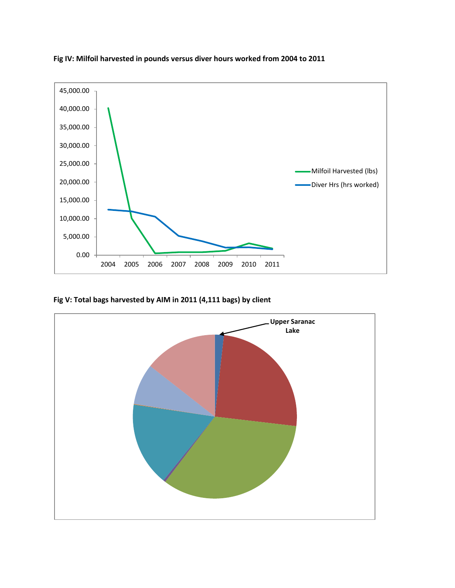

**Fig IV: Milfoil harvested in pounds versus diver hours worked from 2004 to 2011**

**Fig V: Total bags harvested by AIM in 2011 (4,111 bags) by client**

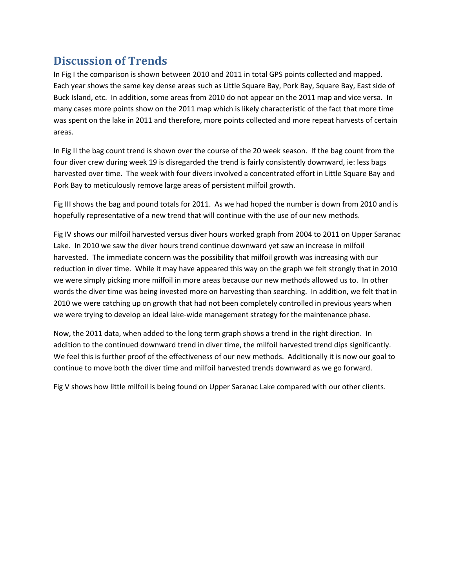## **Discussion of Trends**

In Fig I the comparison is shown between 2010 and 2011 in total GPS points collected and mapped. Each year shows the same key dense areas such as Little Square Bay, Pork Bay, Square Bay, East side of Buck Island, etc. In addition, some areas from 2010 do not appear on the 2011 map and vice versa. In many cases more points show on the 2011 map which is likely characteristic of the fact that more time was spent on the lake in 2011 and therefore, more points collected and more repeat harvests of certain areas.

In Fig II the bag count trend is shown over the course of the 20 week season. If the bag count from the four diver crew during week 19 is disregarded the trend is fairly consistently downward, ie: less bags harvested over time. The week with four divers involved a concentrated effort in Little Square Bay and Pork Bay to meticulously remove large areas of persistent milfoil growth.

Fig III shows the bag and pound totals for 2011. As we had hoped the number is down from 2010 and is hopefully representative of a new trend that will continue with the use of our new methods.

Fig IV shows our milfoil harvested versus diver hours worked graph from 2004 to 2011 on Upper Saranac Lake. In 2010 we saw the diver hours trend continue downward yet saw an increase in milfoil harvested. The immediate concern was the possibility that milfoil growth was increasing with our reduction in diver time. While it may have appeared this way on the graph we felt strongly that in 2010 we were simply picking more milfoil in more areas because our new methods allowed us to. In other words the diver time was being invested more on harvesting than searching. In addition, we felt that in 2010 we were catching up on growth that had not been completely controlled in previous years when we were trying to develop an ideal lake-wide management strategy for the maintenance phase.

Now, the 2011 data, when added to the long term graph shows a trend in the right direction. In addition to the continued downward trend in diver time, the milfoil harvested trend dips significantly. We feel this is further proof of the effectiveness of our new methods. Additionally it is now our goal to continue to move both the diver time and milfoil harvested trends downward as we go forward.

Fig V shows how little milfoil is being found on Upper Saranac Lake compared with our other clients.